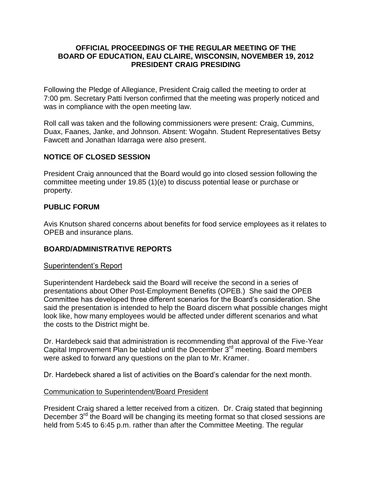## **OFFICIAL PROCEEDINGS OF THE REGULAR MEETING OF THE BOARD OF EDUCATION, EAU CLAIRE, WISCONSIN, NOVEMBER 19, 2012 PRESIDENT CRAIG PRESIDING**

Following the Pledge of Allegiance, President Craig called the meeting to order at 7:00 pm. Secretary Patti Iverson confirmed that the meeting was properly noticed and was in compliance with the open meeting law.

Roll call was taken and the following commissioners were present: Craig, Cummins, Duax, Faanes, Janke, and Johnson. Absent: Wogahn. Student Representatives Betsy Fawcett and Jonathan Idarraga were also present.

# **NOTICE OF CLOSED SESSION**

President Craig announced that the Board would go into closed session following the committee meeting under 19.85 (1)(e) to discuss potential lease or purchase or property.

# **PUBLIC FORUM**

Avis Knutson shared concerns about benefits for food service employees as it relates to OPEB and insurance plans.

# **BOARD/ADMINISTRATIVE REPORTS**

# Superintendent's Report

Superintendent Hardebeck said the Board will receive the second in a series of presentations about Other Post-Employment Benefits (OPEB.) She said the OPEB Committee has developed three different scenarios for the Board's consideration. She said the presentation is intended to help the Board discern what possible changes might look like, how many employees would be affected under different scenarios and what the costs to the District might be.

Dr. Hardebeck said that administration is recommending that approval of the Five-Year Capital Improvement Plan be tabled until the December 3<sup>rd</sup> meeting. Board members were asked to forward any questions on the plan to Mr. Kramer.

Dr. Hardebeck shared a list of activities on the Board's calendar for the next month.

# Communication to Superintendent/Board President

President Craig shared a letter received from a citizen. Dr. Craig stated that beginning December  $3<sup>rd</sup>$  the Board will be changing its meeting format so that closed sessions are held from 5:45 to 6:45 p.m. rather than after the Committee Meeting. The regular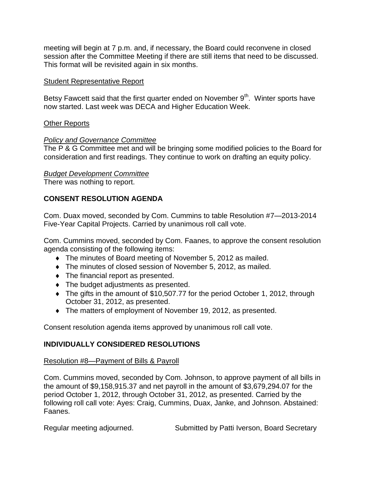meeting will begin at 7 p.m. and, if necessary, the Board could reconvene in closed session after the Committee Meeting if there are still items that need to be discussed. This format will be revisited again in six months.

# Student Representative Report

Betsy Fawcett said that the first quarter ended on November 9<sup>th</sup>. Winter sports have now started. Last week was DECA and Higher Education Week.

# Other Reports

# *Policy and Governance Committee*

The P & G Committee met and will be bringing some modified policies to the Board for consideration and first readings. They continue to work on drafting an equity policy.

# *Budget Development Committee*

There was nothing to report.

# **CONSENT RESOLUTION AGENDA**

Com. Duax moved, seconded by Com. Cummins to table Resolution #7—2013-2014 Five-Year Capital Projects. Carried by unanimous roll call vote.

Com. Cummins moved, seconded by Com. Faanes, to approve the consent resolution agenda consisting of the following items:

- The minutes of Board meeting of November 5, 2012 as mailed.
- The minutes of closed session of November 5, 2012, as mailed.
- $\bullet$  The financial report as presented.
- The budget adjustments as presented.
- The gifts in the amount of \$10,507.77 for the period October 1, 2012, through October 31, 2012, as presented.
- The matters of employment of November 19, 2012, as presented.

Consent resolution agenda items approved by unanimous roll call vote.

# **INDIVIDUALLY CONSIDERED RESOLUTIONS**

# Resolution #8—Payment of Bills & Payroll

Com. Cummins moved, seconded by Com. Johnson, to approve payment of all bills in the amount of \$9,158,915.37 and net payroll in the amount of \$3,679,294.07 for the period October 1, 2012, through October 31, 2012, as presented. Carried by the following roll call vote: Ayes: Craig, Cummins, Duax, Janke, and Johnson. Abstained: Faanes.

Regular meeting adjourned. Submitted by Patti Iverson, Board Secretary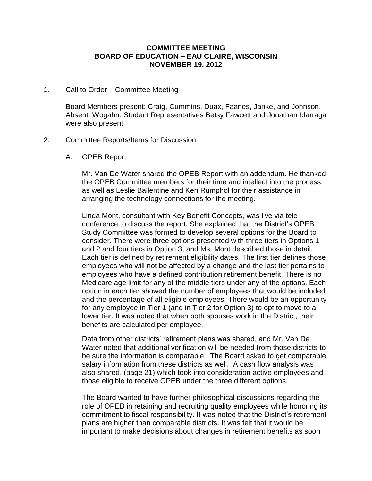#### **COMMITTEE MEETING BOARD OF EDUCATION – EAU CLAIRE, WISCONSIN NOVEMBER 19, 2012**

#### 1. Call to Order – Committee Meeting

Board Members present: Craig, Cummins, Duax, Faanes, Janke, and Johnson. Absent: Wogahn. Student Representatives Betsy Fawcett and Jonathan Idarraga were also present.

#### 2. Committee Reports/Items for Discussion

A. OPEB Report

Mr. Van De Water shared the OPEB Report with an addendum. He thanked the OPEB Committee members for their time and intellect into the process, as well as Leslie Ballentine and Ken Rumphol for their assistance in arranging the technology connections for the meeting.

Linda Mont, consultant with Key Benefit Concepts, was live via teleconference to discuss the report. She explained that the District's OPEB Study Committee was formed to develop several options for the Board to consider. There were three options presented with three tiers in Options 1 and 2 and four tiers in Option 3, and Ms. Mont described those in detail. Each tier is defined by retirement eligibility dates. The first tier defines those employees who will not be affected by a change and the last tier pertains to employees who have a defined contribution retirement benefit. There is no Medicare age limit for any of the middle tiers under any of the options. Each option in each tier showed the number of employees that would be included and the percentage of all eligible employees. There would be an opportunity for any employee in Tier 1 (and in Tier 2 for Option 3) to opt to move to a lower tier. It was noted that when both spouses work in the District, their benefits are calculated per employee.

Data from other districts' retirement plans was shared, and Mr. Van De Water noted that additional verification will be needed from those districts to be sure the information is comparable. The Board asked to get comparable salary information from these districts as well. A cash flow analysis was also shared, (page 21) which took into consideration active employees and those eligible to receive OPEB under the three different options.

The Board wanted to have further philosophical discussions regarding the role of OPEB in retaining and recruiting quality employees while honoring its commitment to fiscal responsibility. It was noted that the District's retirement plans are higher than comparable districts. It was felt that it would be important to make decisions about changes in retirement benefits as soon